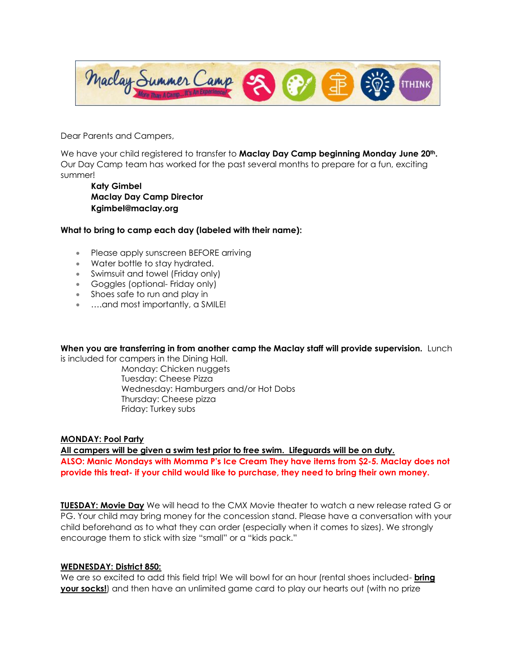

Dear Parents and Campers,

We have your child registered to transfer to **Maclay Day Camp beginning Monday June 20th.**  Our Day Camp team has worked for the past several months to prepare for a fun, exciting summer!

**Katy Gimbel Maclay Day Camp Director Kgimbel@maclay.org**

## **What to bring to camp each day (labeled with their name):**

- Please apply sunscreen BEFORE arriving
- Water bottle to stay hydrated.
- Swimsuit and towel (Friday only)
- Goggles (optional- Friday only)
- Shoes safe to run and play in
- ...and most importantly, a SMILE!

**When you are transferring in from another camp the Maclay staff will provide supervision.** Lunch

is included for campers in the Dining Hall.

Monday: Chicken nuggets Tuesday: Cheese Pizza Wednesday: Hamburgers and/or Hot Dobs Thursday: Cheese pizza Friday: Turkey subs

# **MONDAY: Pool Party**

**All campers will be given a swim test prior to free swim. Lifeguards will be on duty. ALSO: Manic Mondays with Momma P's Ice Cream They have items from \$2-5. Maclay does not provide this treat- if your child would like to purchase, they need to bring their own money.** 

**TUESDAY: Movie Day** We will head to the CMX Movie theater to watch a new release rated G or PG. Your child may bring money for the concession stand. Please have a conversation with your child beforehand as to what they can order (especially when it comes to sizes). We strongly encourage them to stick with size "small" or a "kids pack."

# **WEDNESDAY: District 850:**

We are so excited to add this field trip! We will bowl for an hour (rental shoes included- **bring your socks!**) and then have an unlimited game card to play our hearts out (with no prize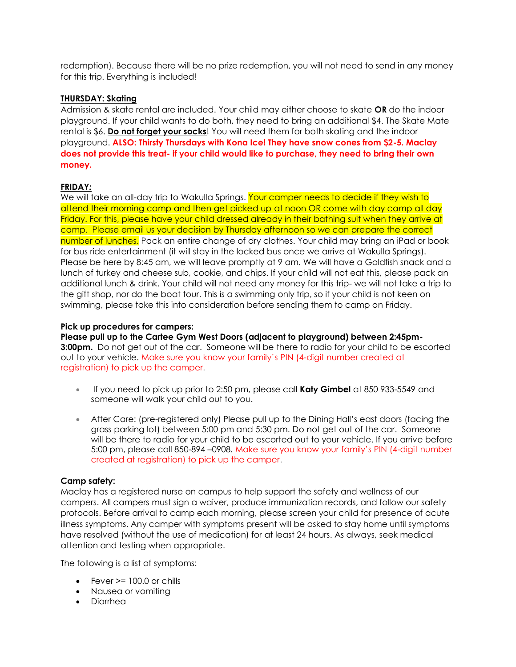redemption). Because there will be no prize redemption, you will not need to send in any money for this trip. Everything is included!

# **THURSDAY: Skating**

Admission & skate rental are included. Your child may either choose to skate **OR** do the indoor playground. If your child wants to do both, they need to bring an additional \$4. The Skate Mate rental is \$6. **Do not forget your socks**! You will need them for both skating and the indoor playground. **ALSO: Thirsty Thursdays with Kona Ice! They have snow cones from \$2-5. Maclay does not provide this treat- if your child would like to purchase, they need to bring their own money.** 

## **FRIDAY***:*

We will take an all-day trip to Wakulla Springs. Your camper needs to decide if they wish to attend their morning camp and then get picked up at noon OR come with day camp all day Friday. For this, please have your child dressed already in their bathing suit when they arrive at camp. Please email us your decision by Thursday afternoon so we can prepare the correct number of lunches. Pack an entire change of dry clothes. Your child may bring an iPad or book for bus ride entertainment (it will stay in the locked bus once we arrive at Wakulla Springs). Please be here by 8:45 am, we will leave promptly at 9 am. We will have a Goldfish snack and a lunch of turkey and cheese sub, cookie, and chips. If your child will not eat this, please pack an additional lunch & drink. Your child will not need any money for this trip- we will not take a trip to the gift shop, nor do the boat tour. This is a swimming only trip, so if your child is not keen on swimming, please take this into consideration before sending them to camp on Friday.

## **Pick up procedures for campers:**

**Please pull up to the Cartee Gym West Doors (adjacent to playground) between 2:45pm-3:00pm.** Do not get out of the car. Someone will be there to radio for your child to be escorted out to your vehicle. Make sure you know your family's PIN (4-digit number created at registration) to pick up the camper.

- If you need to pick up prior to 2:50 pm, please call **Katy Gimbel** at 850 933-5549 and someone will walk your child out to you.
- After Care: (pre-registered only) Please pull up to the Dining Hall's east doors (facing the grass parking lot) between 5:00 pm and 5:30 pm. Do not get out of the car. Someone will be there to radio for your child to be escorted out to your vehicle. If you arrive before 5:00 pm, please call 850-894 –0908. Make sure you know your family's PIN (4-digit number created at registration) to pick up the camper.

### **Camp safety:**

Maclay has a registered nurse on campus to help support the safety and wellness of our campers. All campers must sign a waiver, produce immunization records, and follow our safety protocols. Before arrival to camp each morning, please screen your child for presence of acute illness symptoms. Any camper with symptoms present will be asked to stay home until symptoms have resolved (without the use of medication) for at least 24 hours. As always, seek medical attention and testing when appropriate.

The following is a list of symptoms:

- Fever > 100.0 or chills
- Nausea or vomiting
- Diarrhea